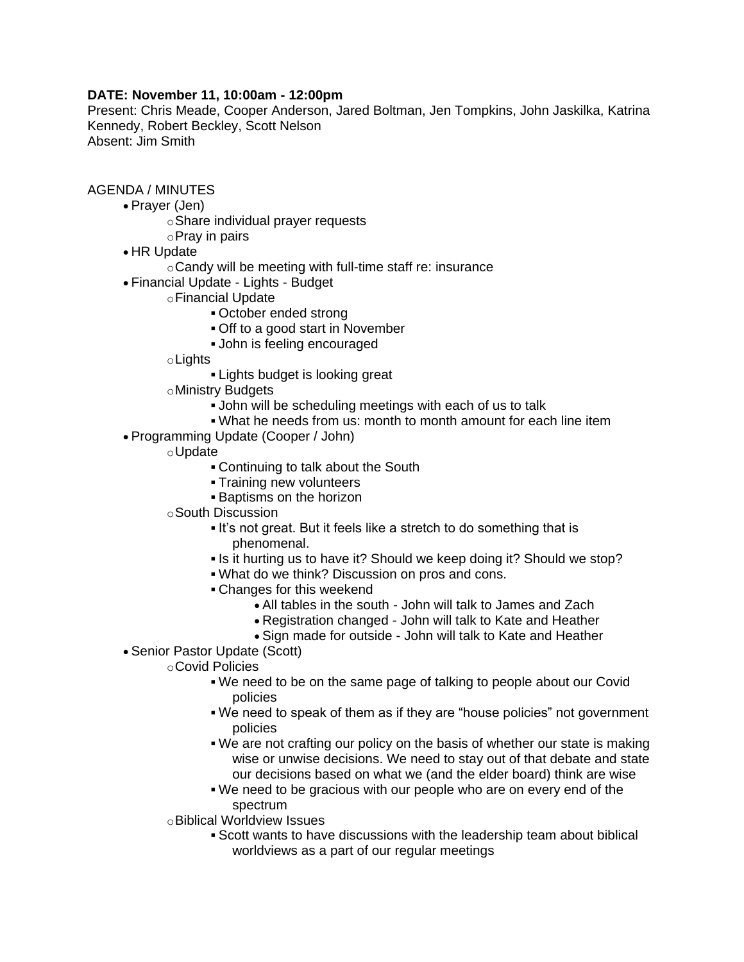## **DATE: November 11, 10:00am - 12:00pm**

Present: Chris Meade, Cooper Anderson, Jared Boltman, Jen Tompkins, John Jaskilka, Katrina Kennedy, Robert Beckley, Scott Nelson Absent: Jim Smith

## AGENDA / MINUTES

- Prayer (Jen)
	- oShare individual prayer requests
	- oPray in pairs
- HR Update
	- oCandy will be meeting with full-time staff re: insurance
- Financial Update Lights Budget
	- oFinancial Update
		- October ended strong
		- Off to a good start in November
		- John is feeling encouraged

oLights

- **Lights budget is looking great**
- oMinistry Budgets
	- John will be scheduling meetings with each of us to talk
	- What he needs from us: month to month amount for each line item
- Programming Update (Cooper / John)
	- oUpdate
		- Continuing to talk about the South
		- **Training new volunteers**
		- **Baptisms on the horizon**
	- oSouth Discussion
		- It's not great. But it feels like a stretch to do something that is phenomenal.
		- Is it hurting us to have it? Should we keep doing it? Should we stop?
		- What do we think? Discussion on pros and cons.
		- Changes for this weekend
			- All tables in the south John will talk to James and Zach
			- Registration changed John will talk to Kate and Heather
			- Sign made for outside John will talk to Kate and Heather
- Senior Pastor Update (Scott)
	- oCovid Policies
		- We need to be on the same page of talking to people about our Covid policies
		- We need to speak of them as if they are "house policies" not government policies
		- We are not crafting our policy on the basis of whether our state is making wise or unwise decisions. We need to stay out of that debate and state our decisions based on what we (and the elder board) think are wise
		- We need to be gracious with our people who are on every end of the spectrum
	- oBiblical Worldview Issues
		- Scott wants to have discussions with the leadership team about biblical worldviews as a part of our regular meetings